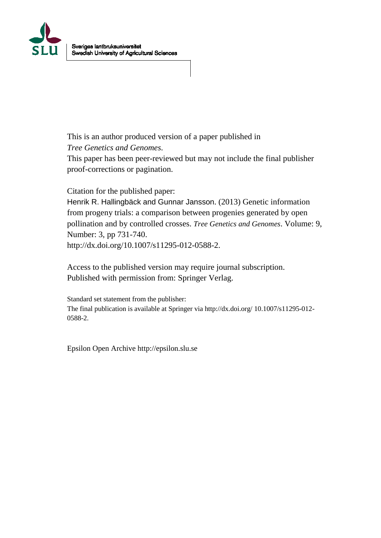

This is an author produced version of a paper published in *Tree Genetics and Genomes*.

This paper has been peer-reviewed but may not include the final publisher proof-corrections or pagination.

Citation for the published paper:

Henrik R. Hallingbäck and Gunnar Jansson. (2013) Genetic information from progeny trials: a comparison between progenies generated by open pollination and by controlled crosses. *Tree Genetics and Genomes*. Volume: 9, Number: 3, pp 731-740. http://dx.doi.org/10.1007/s11295-012-0588-2.

Access to the published version may require journal subscription. Published with permission from: Springer Verlag.

Standard set statement from the publisher: The final publication is available at Springer via http://dx.doi.org/ 10.1007/s11295-012- 0588-2.

Epsilon Open Archive http://epsilon.slu.se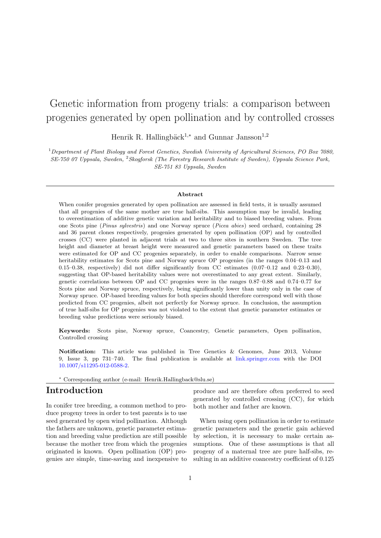# Genetic information from progeny trials: a comparison between progenies generated by open pollination and by controlled crosses

Henrik R. Hallingbäck<sup>1,∗</sup> and Gunnar Jansson<sup>1,2</sup>

<sup>1</sup>Department of Plant Biology and Forest Genetics, Swedish University of Agricultural Sciences, PO Box 7080, SE-750 07 Uppsala, Sweden, <sup>2</sup>Skogforsk (The Forestry Research Institute of Sweden), Uppsala Science Park, SE-751 83 Uppsala, Sweden

#### Abstract

When conifer progenies generated by open pollination are assessed in field tests, it is usually assumed that all progenies of the same mother are true half-sibs. This assumption may be invalid, leading to overestimation of additive genetic variation and heritability and to biased breeding values. From one Scots pine (Pinus sylvestris) and one Norway spruce (Picea abies) seed orchard, containing 28 and 36 parent clones respectively, progenies generated by open pollination (OP) and by controlled crosses (CC) were planted in adjacent trials at two to three sites in southern Sweden. The tree height and diameter at breast height were measured and genetic parameters based on these traits were estimated for OP and CC progenies separately, in order to enable comparisons. Narrow sense heritability estimates for Scots pine and Norway spruce OP progenies (in the ranges 0.04–0.13 and 0.15–0.38, respectively) did not differ significantly from CC estimates (0.07–0.12 and 0.23–0.30), suggesting that OP-based heritability values were not overestimated to any great extent. Similarly, genetic correlations between OP and CC progenies were in the ranges 0.87–0.88 and 0.74–0.77 for Scots pine and Norway spruce, respectively, being significantly lower than unity only in the case of Norway spruce. OP-based breeding values for both species should therefore correspond well with those predicted from CC progenies, albeit not perfectly for Norway spruce. In conclusion, the assumption of true half-sibs for OP progenies was not violated to the extent that genetic parameter estimates or breeding value predictions were seriously biased.

Keywords: Scots pine, Norway spruce, Coancestry, Genetic parameters, Open pollination, Controlled crossing

Notification: This article was published in Tree Genetics & Genomes, June 2013, Volume 9, Issue 3, pp 731–740. The final publication is available at [link.springer.com](http://link.springer.com) with the DOI [10.1007/s11295-012-0588-2.](http://link.springer.com/article/10.1007/s11295-012-0588-2)

<sup>∗</sup> Corresponding author (e-mail: Henrik.Hallingback@slu.se)

## Introduction

In conifer tree breeding, a common method to produce progeny trees in order to test parents is to use seed generated by open wind pollination. Although the fathers are unknown, genetic parameter estimation and breeding value prediction are still possible because the mother tree from which the progenies originated is known. Open pollination (OP) progenies are simple, time-saving and inexpensive to produce and are therefore often preferred to seed generated by controlled crossing (CC), for which both mother and father are known.

When using open pollination in order to estimate genetic parameters and the genetic gain achieved by selection, it is necessary to make certain assumptions. One of these assumptions is that all progeny of a maternal tree are pure half-sibs, resulting in an additive coancestry coefficient of 0.125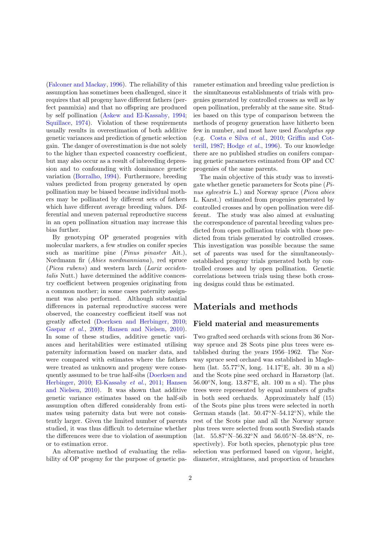[\(Falconer and Mackay,](#page-12-0) [1996\)](#page-12-0). The reliability of this assumption has sometimes been challenged, since it requires that all progeny have different fathers (perfect panmixia) and that no offspring are produced by self pollination [\(Askew and El-Kassaby,](#page-12-1) [1994;](#page-12-1) [Squillace,](#page-13-0) [1974\)](#page-13-0). Violation of these requirements usually results in overestimation of both additive genetic variances and prediction of genetic selection gain. The danger of overestimation is due not solely to the higher than expected coancestry coefficient, but may also occur as a result of inbreeding depression and to confounding with dominance genetic variation [\(Borralho,](#page-12-2) [1994\)](#page-12-2). Furthermore, breeding values predicted from progeny generated by open pollination may be biased because individual mothers may be pollinated by different sets of fathers which have different average breeding values. Differential and uneven paternal reproductive success in an open pollination situation may increase this bias further.

By genotyping OP generated progenies with molecular markers, a few studies on conifer species such as maritime pine (*Pinus pinaster* Ait.), Nordmann fir (Abies nordmanniana), red spruce (Picea rubens) and western larch (Larix occidentalis Nutt.) have determined the additive coancestry coefficient between progenies originating from a common mother; in some cases paternity assignment was also performed. Although substantial differences in paternal reproductive success were observed, the coancestry coefficient itself was not greatly affected [\(Doerksen and Herbinger,](#page-12-3) [2010;](#page-12-3) [Gaspar](#page-12-4) et al., [2009;](#page-12-4) [Hansen and Nielsen,](#page-12-5) [2010\)](#page-12-5). In some of these studies, additive genetic variances and heritabilities were estimated utilising paternity information based on marker data, and were compared with estimates where the fathers were treated as unknown and progeny were consequently assumed to be true half-sibs [\(Doerksen and](#page-12-3) [Herbinger,](#page-12-3) [2010;](#page-12-3) [El-Kassaby](#page-12-6) et al., [2011;](#page-12-6) [Hansen](#page-12-5) [and Nielsen,](#page-12-5) [2010\)](#page-12-5). It was shown that additive genetic variance estimates based on the half-sib assumption often differed considerably from estimates using paternity data but were not consistently larger. Given the limited number of parents studied, it was thus difficult to determine whether the differences were due to violation of assumption or to estimation error.

An alternative method of evaluating the reliability of OP progeny for the purpose of genetic parameter estimation and breeding value prediction is the simultaneous establishments of trials with progenies generated by controlled crosses as well as by open pollination, preferably at the same site. Studies based on this type of comparison between the methods of progeny generation have hitherto been few in number, and most have used Eucalyptus spp (e.g. [Costa e Silva](#page-12-7) et al., [2010;](#page-12-7) [Griffin and Cot](#page-12-8)[terill,](#page-12-8) [1987;](#page-12-8) [Hodge](#page-12-9) et al., [1996\)](#page-12-9). To our knowledge there are no published studies on conifers comparing genetic parameters estimated from OP and CC progenies of the same parents.

The main objective of this study was to investigate whether genetic parameters for Scots pine (Pinus sylvestris L.) and Norway spruce (Picea abies L. Karst.) estimated from progenies generated by controlled crosses and by open pollination were different. The study was also aimed at evaluating the correspondence of parental breeding values predicted from open pollination trials with those predicted from trials generated by controlled crosses. This investigation was possible because the same set of parents was used for the simultaneouslyestablished progeny trials generated both by controlled crosses and by open pollination. Genetic correlations between trials using these both crossing designs could thus be estimated.

# Materials and methods

#### Field material and measurements

Two grafted seed orchards with scions from 36 Norway spruce and 28 Scots pine plus trees were established during the years 1956–1962. The Norway spruce seed orchard was established in Maglehem (lat. 55.77◦N, long. 14.17◦E, alt. 30 m a sl) and the Scots pine seed orchard in Harastorp (lat. 56.00◦N, long. 13.87◦E, alt. 100 m a sl). The plus trees were represented by equal numbers of grafts in both seed orchards. Approximately half (15) of the Scots pine plus trees were selected in north German stands (lat.  $50.47°N-54.12°N$ ), while the rest of the Scots pine and all the Norway spruce plus trees were selected from south Swedish stands (lat. 55.87◦N–56.32◦N and 56.05◦N–58.48◦N, respectively). For both species, phenotypic plus tree selection was performed based on vigour, height, diameter, straightness, and proportion of branches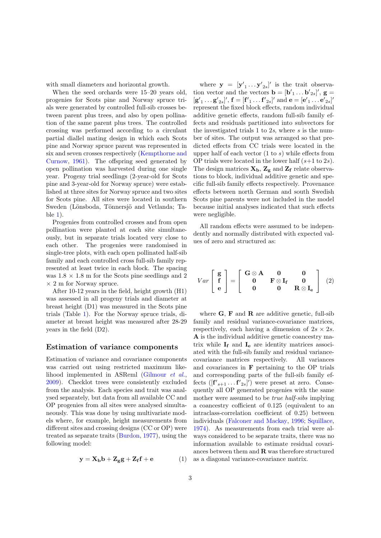with small diameters and horizontal growth.

When the seed orchards were 15–20 years old, progenies for Scots pine and Norway spruce trials were generated by controlled full-sib crosses between parent plus trees, and also by open pollination of the same parent plus trees. The controlled crossing was performed according to a circulant partial diallel mating design in which each Scots pine and Norway spruce parent was represented in six and seven crosses respectively [\(Kempthorne and](#page-13-1) [Curnow,](#page-13-1) [1961\)](#page-13-1). The offspring seed generated by open pollination was harvested during one single year. Progeny trial seedlings (2-year-old for Scots pine and 3-year-old for Norway spruce) were established at three sites for Norway spruce and two sites for Scots pine. All sites were located in southern Sweden (Lönsboda, Tönnersjö and Vetlanda; Table [1\)](#page-4-0).

Progenies from controlled crosses and from open pollination were planted at each site simultaneously, but in separate trials located very close to each other. The progenies were randomised in single-tree plots, with each open pollinated half-sib family and each controlled cross full-sib family represented at least twice in each block. The spacing was  $1.8 \times 1.8$  m for the Scots pine seedlings and 2  $\times$  2 m for Norway spruce.

After 10-12 years in the field, height growth (H1) was assessed in all progeny trials and diameter at breast height (D1) was measured in the Scots pine trials (Table [1\)](#page-4-0). For the Norway spruce trials, diameter at breast height was measured after 28-29 years in the field (D2).

#### Estimation of variance components

Estimation of variance and covariance components was carried out using restricted maximum likelihood implemented in ASReml [\(Gilmour](#page-12-10) et al., [2009\)](#page-12-10). Checklot trees were consistently excluded from the analysis. Each species and trait was analysed separately, but data from all available CC and OP progenies from all sites were analysed simultaneously. This was done by using multivariate models where, for example, height measurements from different sites and crossing designs (CC or OP) were treated as separate traits [\(Burdon,](#page-12-11) [1977\)](#page-12-11), using the following model:

$$
\mathbf{y} = \mathbf{X}_{\mathbf{b}} \mathbf{b} + \mathbf{Z}_{\mathbf{g}} \mathbf{g} + \mathbf{Z}_{\mathbf{f}} \mathbf{f} + \mathbf{e} \tag{1}
$$

where  $\mathbf{y} = [\mathbf{y}'_1 \dots \mathbf{y}'_{2s}]'$  is the trait observation vector and the vectors  $\mathbf{b} = [\mathbf{b'}_1 \dots \mathbf{b'}_{2s}]'$ ,  $\mathbf{g} =$  $[\mathbf{g}'_1 \dots \mathbf{g}'_{2s}]'$ ,  $\mathbf{f} = [\mathbf{f}'_1 \dots \mathbf{f}'_{2s}]'$  and  $\mathbf{e} = [\mathbf{e}'_1 \dots \mathbf{e}'_{2s}]'$ represent the fixed block effects, random individual additive genetic effects, random full-sib family effects and residuals partitioned into subvectors for the investigated trials 1 to 2s, where s is the number of sites. The output was arranged so that predicted effects from CC trials were located in the upper half of each vector  $(1 \text{ to } s)$  while effects from OP trials were located in the lower half  $(s+1 \text{ to } 2s)$ . The design matrices  $\mathbf{X}_\mathbf{b},$   $\mathbf{Z}_\mathbf{g}$  and  $\mathbf{Z}_\mathbf{f}$  relate observations to block, individual additive genetic and specific full-sib family effects respectively. Provenance effects between north German and south Swedish Scots pine parents were not included in the model because initial analyses indicated that such effects were negligible.

All random effects were assumed to be independently and normally distributed with expected values of zero and structured as:

<span id="page-3-0"></span>
$$
Var\left[\begin{array}{c} \mathbf{g} \\ \mathbf{f} \\ \mathbf{e} \end{array}\right] = \left[\begin{array}{ccc} \mathbf{G} \otimes \mathbf{A} & \mathbf{0} & \mathbf{0} \\ \mathbf{0} & \mathbf{F} \otimes \mathbf{I}_{\mathbf{f}} & \mathbf{0} \\ \mathbf{0} & \mathbf{0} & \mathbf{R} \otimes \mathbf{I}_{\mathbf{e}} \end{array}\right] \tag{2}
$$

where  $\bf{G}$ ,  $\bf{F}$  and  $\bf{R}$  are additive genetic, full-sib family and residual variance-covariance matrices, respectively, each having a dimension of  $2s \times 2s$ . A is the individual additive genetic coancestry matrix while  $I_f$  and  $I_e$  are identity matrices associated with the full-sib family and residual variancecovariance matrices respectively. All variances and covariances in  $\bf{F}$  pertaining to the OP trials and corresponding parts of the full-sib family effects  $([\mathbf{f'}_{s+1} \dots \mathbf{f'}_{2s}]')$  were preset at zero. Consequently all OP generated progenies with the same mother were assumed to be *true half-sibs* implying a coancestry cofficient of 0.125 (equivalent to an intraclass-correlation coefficient of 0.25) between individuals [\(Falconer and Mackay,](#page-12-0) [1996;](#page-12-0) [Squillace,](#page-13-0) [1974\)](#page-13-0). As measurements from each trial were always considered to be separate traits, there was no information available to estimate residual covariances between them and  $\bf R$  was therefore structured as a diagonal variance-covariance matrix.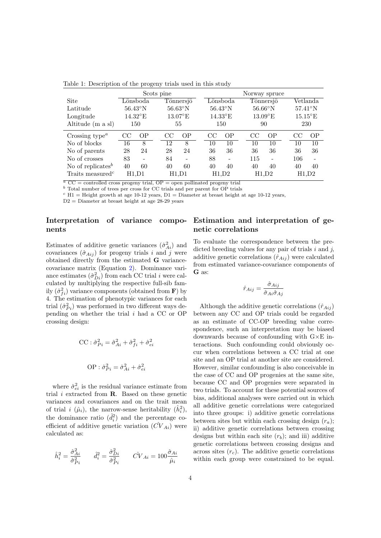|                                           | Scots pine |                   |    | Norway spruce            |    |                   |     |                   |                   |                |
|-------------------------------------------|------------|-------------------|----|--------------------------|----|-------------------|-----|-------------------|-------------------|----------------|
| Site                                      |            | Lönsboda          |    | Tönnersjö                |    | Lönsboda          |     | Tönnersjö         |                   | Vetlanda       |
| Latitude                                  |            | $56.43^{\circ}$ N |    | $56.63^{\circ}$ N        |    | $56.43^{\circ}$ N |     | $56.66^{\circ}$ N | $57.41^\circ$ N   |                |
| Longitude                                 |            | $14.32^{\circ}$ E |    | $13.07^{\circ}$ E        |    | $14.33^{\circ}$ E |     | $13.09^{\circ}E$  | $15.15^{\circ}$ E |                |
| Altitude (m a sl)                         |            | 150               |    | 55                       |    | 150               |     | 90                | 230               |                |
| Crossing type <sup><math>a</math></sup>   | CC         | 0 <sub>P</sub>    | CC | 0 <sub>P</sub>           | CC | 0 <sub>P</sub>    | CC  | 0 <sub>P</sub>    | CC                | OP             |
| No of blocks                              | 16         | 8                 | 12 | 8                        | 10 | 10                | 10  | 10                | 10                | 10             |
| No of parents                             | 28         | 24                | 28 | 24                       | 36 | 36                | 36  | 36                | 36                | 36             |
| No of crosses                             | 83         | ۰                 | 84 | $\overline{\phantom{0}}$ | 88 |                   | 115 | ۰                 | 106               | $\blacksquare$ |
| No of replicates <sup>b</sup>             | 40         | 60                | 40 | 60                       | 40 | 40                | 40  | 40                | 40                | 40             |
| Traits measured <sup><math>c</math></sup> | H1.D1      |                   |    | H1.D1                    |    | H1.D2             |     | H1,D2             | H1.D2             |                |

<span id="page-4-0"></span>Table 1: Description of the progeny trials used in this study

 $\overline{a}$  CC = controlled cross progeny trial, OP = open pollinated progeny trial  $\overrightarrow{b}$  Total number of trees per cross for CC trials and per parent for OP trials

 $c$  H1 = Height growth at age 10-12 years, D1 = Diameter at breast height at age 10-12 years,

 $D2 =$  Diameter at breast height at age 28-29 years

### Interpretation of variance components

Estimates of additive genetic variances  $(\hat{\sigma}_{Ai}^2)$  and covariances  $(\hat{\sigma}_{Aij})$  for progeny trials i and j were obtained directly from the estimated G variancecovariance matrix (Equation [2\)](#page-3-0). Dominance variance estimates  $(\hat{\sigma}_{Di}^2)$  from each CC trial *i* were calculated by multiplying the respective full-sib family  $(\hat{\sigma}_{fi}^2)$  variance components (obtained from **F**) by 4. The estimation of phenotypic variances for each trial  $(\hat{\sigma}_{P_i}^2)$  was performed in two different ways depending on whether the trial i had a CC or OP crossing design:

$$
CC: \hat{\sigma}_{Pi}^{2} = \hat{\sigma}_{Ai}^{2} + \hat{\sigma}_{fi}^{2} + \hat{\sigma}_{ei}^{2}
$$

$$
OP: \hat{\sigma}_{Pi}^{2} = \hat{\sigma}_{Ai}^{2} + \hat{\sigma}_{ei}^{2}
$$

where  $\hat{\sigma}_{ei}^2$  is the residual variance estimate from trial  $i$  extracted from  $\bf{R}$ . Based on these genetic variances and covariances and on the trait mean of trial *i*  $(\hat{\mu}_i)$ , the narrow-sense heritability  $(\hat{h}_i^2)$ , the dominance ratio  $(\hat{d}_i^2)$  and the percentage coefficient of additive genetic variation  $(\hat{CV}_{Ai})$  were calculated as:

$$
\hat{h}_i^2 = \frac{\hat{\sigma}_{Ai}^2}{\hat{\sigma}_{Pi}^2} \qquad \hat{d}_i^2 = \frac{\hat{\sigma}_{Di}^2}{\hat{\sigma}_{Pi}^2} \qquad \hat{C} V_{Ai} = 100 \frac{\hat{\sigma}_{Ai}}{\hat{\mu}_i}
$$

#### Estimation and interpretation of genetic correlations

To evaluate the correspondence between the predicted breeding values for any pair of trials  $i$  and  $j$ , additive genetic correlations  $(\hat{r}_{Aij})$  were calculated from estimated variance-covariance components of G as:

$$
\hat{r}_{Aij} = \frac{\hat{\sigma}_{Aij}}{\hat{\sigma}_{Ai}\hat{\sigma}_{Aj}}
$$

Although the additive genetic correlations  $(\hat{r}_{Ai})$ between any CC and OP trials could be regarded as an estimate of CC-OP breeding value correspondence, such an interpretation may be biased downwards because of confounding with G×E interactions. Such confounding could obviously occur when correlations between a CC trial at one site and an OP trial at another site are considered. However, similar confounding is also conceivable in the case of CC and OP progenies at the same site, because CC and OP progenies were separated in two trials. To account for these potential sources of bias, additional analyses were carried out in which all additive genetic correlations were categorized into three groups: i) additive genetic correlations between sites but within each crossing design  $(r_a)$ ; ii) additive genetic correlations between crossing designs but within each site  $(r_b)$ ; and iii) additive genetic correlations between crossing designs and across sites  $(r<sub>c</sub>)$ . The additive genetic correlations within each group were constrained to be equal.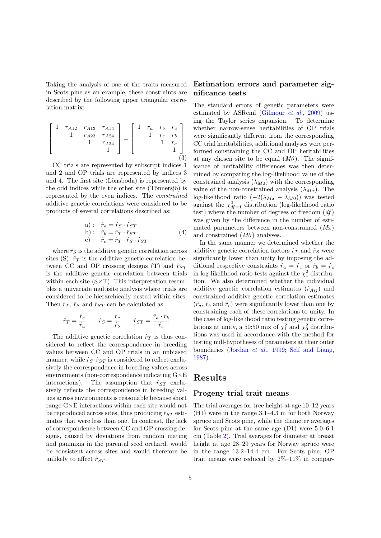Taking the analysis of one of the traits measured in Scots pine as an example, these constraints are described by the following upper triangular correlation matrix:

<span id="page-5-0"></span>
$$
\begin{bmatrix} 1 & r_{A12} & r_{A13} & r_{A14} \\ & 1 & r_{A23} & r_{A24} \\ & & 1 & r_{A34} \\ & & & 1 \end{bmatrix} = \begin{bmatrix} 1 & r_a & r_b & r_c \\ & 1 & r_c & r_b \\ & & 1 & r_a \\ & & & 1 \end{bmatrix}
$$
 (3)

CC trials are represented by subscript indices 1 and 2 and OP trials are represented by indices 3 and 4. The first site (Lönsboda) is represented by the odd indices while the other site (Tönnersjö) is represented by the even indices. The constrained additive genetic correlations were considered to be products of several correlations described as:

<span id="page-5-1"></span>a): 
$$
\hat{r}_a = \hat{r}_S \cdot \hat{r}_{ST}
$$
  
b):  $\hat{r}_b = \hat{r}_T \cdot \hat{r}_{ST}$   
c):  $\hat{r}_c = \hat{r}_T \cdot \hat{r}_S \cdot \hat{r}_{ST}$  (4)

where  $\hat{r}_S$  is the additive genetic correlation across sites (S),  $\hat{r}_T$  is the additive genetic correlation between CC and OP crossing designs (T) and  $\hat{r}_{ST}$ is the additive genetic correlation between trials within each site  $(S \times T)$ . This interpretation resembles a univariate multisite analysis where trials are considered to be hierarchically nested within sites. Then  $\hat{r}_T$ ,  $\hat{r}_S$  and  $\hat{r}_{ST}$  can be calculated as:

$$
\hat{r}_T = \frac{\hat{r}_c}{\hat{r}_a} \qquad \hat{r}_S = \frac{\hat{r}_c}{\hat{r}_b} \qquad \hat{r}_{ST} = \frac{\hat{r}_a \cdot \hat{r}_b}{\hat{r}_c}
$$

The additive genetic correlation  $\hat{r}_T$  is thus considered to reflect the correspondence in breeding values between CC and OP trials in an unbiased manner, while  $\hat{r}_S \cdot \hat{r}_{ST}$  is considered to reflect exclusively the correspondence in breeding values across environments (non-correspondence indicating G×E interactions). The assumption that  $\hat{r}_{ST}$  exclusively reflects the correspondence in breeding values across environments is reasonable because short range G×E interactions within each site would not be reproduced across sites, thus producing  $\hat{r}_{ST}$  estimates that were less than one. In contrast, the lack of correspondence between CC and OP crossing designs, caused by deviations from random mating and panmixia in the parental seed orchard, would be consistent across sites and would therefore be unlikely to affect  $\hat{r}_{ST}$ .

#### Estimation errors and parameter significance tests

The standard errors of genetic parameters were estimated by ASReml [\(Gilmour](#page-12-10) et al., [2009\)](#page-12-10) using the Taylor series expansion. To determine whether narrow-sense heritabilities of OP trials were significantly different from the corresponding CC trial heritabilities, additional analyses were performed constraining the CC and OP heritabilities at any chosen site to be equal  $(M0)$ . The significance of heritability differences was then determined by comparing the log-likelihood value of the constrained analysis  $(\lambda_{M0})$  with the corresponding value of the non-constrained analysis  $(\lambda_{Mx})$ . The log-likelihood ratio  $(-2(\lambda_{Mx} - \lambda_{M0}))$  was tested against the  $\chi^2_{df=1}$  distribution (log-likelihood ratio test) where the number of degrees of freedom  $(df)$ was given by the difference in the number of estimated parameters between non-constrained  $(Mx)$ and constrained  $(M0)$  analyses.

In the same manner we determined whether the additive genetic correlation factors  $\hat{r}_T$  and  $\hat{r}_S$  were significantly lower than unity by imposing the additional respective constraints  $\hat{r}_a = \hat{r}_c$  or  $\hat{r}_b = \hat{r}_c$ in log-likelihood ratio tests against the  $\chi_1^2$  distribution. We also determined whether the individual additive genetic correlation estimates  $(\hat{r}_{Ai}$  and constrained additive genetic correlation estimates  $(\hat{r}_a, \hat{r}_b \text{ and } \hat{r}_c)$  were significantly lower than one by constraining each of these correlations to unity. In the case of log-likelihood ratio testing genetic correlations at unity, a 50:50 mix of  $\chi_1^2$  and  $\chi_0^2$  distributions was used in accordance with the method for testing null-hypotheses of parameters at their outer boundaries [\(Jordan](#page-13-2) et al., [1999;](#page-13-2) [Self and Liang,](#page-13-3) [1987\)](#page-13-3).

### Results

#### Progeny trial trait means

The trial averages for tree height at age 10–12 years (H1) were in the range 3.1–4.3 m for both Norway spruce and Scots pine, while the diameter averages for Scots pine at the same age (D1) were 5.0–6.1 cm (Table [2\)](#page-6-0). Trial averages for diameter at breast height at age 28–29 years for Norway spruce were in the range 13.2–14.4 cm. For Scots pine, OP trait means were reduced by 2%–11% in compar-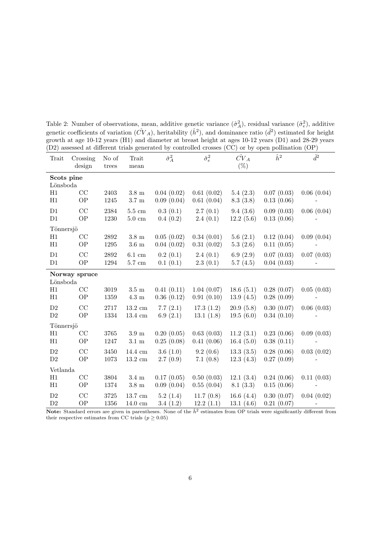| Trait         | Crossing<br>design     | No of<br>trees | Trait<br>mean      | $\hat{\sigma}_A^2$ | $\hat{\sigma}_{e}^{2}$ | $\hat{CV}_A$<br>$(\%)$ | $\hat{h}^2$ | $\hat{d}^2$ |  |
|---------------|------------------------|----------------|--------------------|--------------------|------------------------|------------------------|-------------|-------------|--|
|               |                        |                |                    |                    |                        |                        |             |             |  |
|               | Scots pine<br>Lönsboda |                |                    |                    |                        |                        |             |             |  |
| H1            | CC                     | 2403           | $3.8~\mathrm{m}$   | 0.04(0.02)         | 0.61(0.02)             | 5.4(2.3)               | 0.07(0.03)  | 0.06(0.04)  |  |
| H1            | OP                     | 1245           | $3.7~\mathrm{m}$   | 0.09(0.04)         | 0.61(0.04)             | 8.3(3.8)               | 0.13(0.06)  |             |  |
| D1            | CC                     | 2384           | $5.5~\mathrm{cm}$  | 0.3(0.1)           | 2.7(0.1)               | 9.4(3.6)               | 0.09(0.03)  | 0.06(0.04)  |  |
| D1            | OP                     | 1230           | $5.0 \text{ cm}$   | 0.4(0.2)           | 2.4(0.1)               | 12.2(5.6)              | 0.13(0.06)  |             |  |
| Tönnersjö     |                        |                |                    |                    |                        |                        |             |             |  |
| H1            | CC                     | 2892           | $3.8~\mathrm{m}$   | 0.05(0.02)         | 0.34(0.01)             | 5.6(2.1)               | 0.12(0.04)  | 0.09(0.04)  |  |
| H1            | <b>OP</b>              | 1295           | $3.6~\mathrm{m}$   | 0.04(0.02)         | 0.31(0.02)             | 5.3(2.6)               | 0.11(0.05)  |             |  |
| D1            | CC                     | 2892           | $6.1\mathrm{~cm}$  | 0.2(0.1)           | 2.4(0.1)               | 6.9(2.9)               | 0.07(0.03)  | 0.07(0.03)  |  |
| D1            | $\mathcal{OP}$         | 1294           | $5.7\mathrm{~cm}$  | 0.1(0.1)           | 2.3(0.1)               | 5.7(4.5)               | 0.04(0.03)  |             |  |
|               | Norway spruce          |                |                    |                    |                        |                        |             |             |  |
| Lönsboda      |                        |                |                    |                    |                        |                        |             |             |  |
| H1            | CC                     | 3019           | $3.5~\mathrm{m}$   | 0.41(0.11)         | 1.04(0.07)             | 18.6(5.1)              | 0.28(0.07)  | 0.05(0.03)  |  |
| H1            | <b>OP</b>              | 1359           | $4.3~\mathrm{m}$   | 0.36(0.12)         | 0.91(0.10)             | 13.9(4.5)              | 0.28(0.09)  |             |  |
| D2            | CC                     | 2717           | $13.2 \text{ cm}$  | 7.7(2.1)           | 17.3(1.2)              | 20.9(5.8)              | 0.30(0.07)  | 0.06(0.03)  |  |
| $\mathrm{D}2$ | <b>OP</b>              | 1334           | $13.4 \text{ cm}$  | 6.9 $(2.1)$        | 13.1(1.8)              | 19.5(6.0)              | 0.34(0.10)  |             |  |
| Tönnersjö     |                        |                |                    |                    |                        |                        |             |             |  |
| H1            | CC                     | 3765           | $3.9 \text{ m}$    | 0.20(0.05)         | 0.63(0.03)             | 11.2(3.1)              | 0.23(0.06)  | 0.09(0.03)  |  |
| H1            | <b>OP</b>              | 1247           | $3.1~\mathrm{m}$   | 0.25(0.08)         | 0.41(0.06)             | 16.4 $(5.0)$           | 0.38(0.11)  |             |  |
| $\mathbf{D}2$ | CC                     | 3450           | 14.4 cm            | 3.6(1.0)           | 9.2(0.6)               | 13.3(3.5)              | 0.28(0.06)  | 0.03(0.02)  |  |
| $\mathrm{D}2$ | <b>OP</b>              | 1073           | $13.2\mathrm{~cm}$ | 2.7(0.9)           | 7.1(0.8)               | 12.3(4.3)              | 0.27(0.09)  |             |  |
| Vetlanda      |                        |                |                    |                    |                        |                        |             |             |  |
| H1            | CC                     | 3804           | $3.4 \text{ m}$    | 0.17(0.05)         | 0.50(0.03)             | 12.1(3.4)              | 0.24(0.06)  | 0.11(0.03)  |  |
| H1            | OP                     | 1374           | $3.8~\mathrm{m}$   | 0.09(0.04)         | 0.55(0.04)             | 8.1(3.3)               | 0.15(0.06)  |             |  |
| D2            | CC                     | 3725           | $13.7 \text{ cm}$  | 5.2(1.4)           | 11.7(0.8)              | 16.6 $(4.4)$           | 0.30(0.07)  | 0.04(0.02)  |  |
| D2            | <b>OP</b>              | 1356           | $14.0\mathrm{~cm}$ | 3.4(1.2)           | 12.2(1.1)              | 13.1(4.6)              | 0.21(0.07)  |             |  |

<span id="page-6-0"></span>Table 2: Number of observations, mean, additive genetic variance  $(\hat{\sigma}_A^2)$ , residual variance  $(\hat{\sigma}_e^2)$ , additive genetic coefficients of variation  $(\hat{CV}_A)$ , heritability  $(\hat{h}^2)$ , and dominance ratio  $(\hat{d}^2)$  estimated for height growth at age 10-12 years (H1) and diameter at breast height at ages 10-12 years (D1) and 28-29 years (D2) assessed at different trials generated by controlled crosses (CC) or by open pollination (OP)

Note: Standard errors are given in parentheses. None of the  $\hat{h}^2$  estimates from OP trials were significantly different from their respective estimates from CC trials ( $p \geq 0.05$ )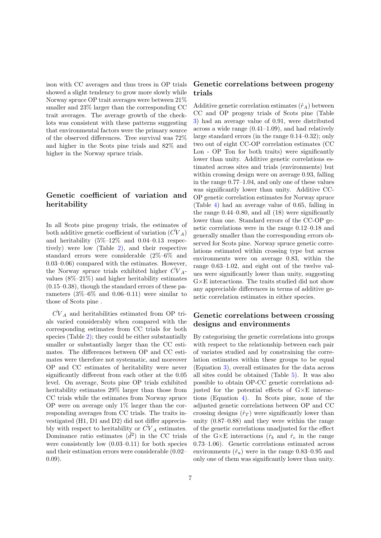ison with CC averages and thus trees in OP trials showed a slight tendency to grow more slowly while Norway spruce OP trait averages were between 21% smaller and 23% larger than the corresponding CC trait averages. The average growth of the checklots was consistent with these patterns suggesting that environmental factors were the primary source of the observed differences. Tree survival was 72% and higher in the Scots pine trials and 82% and higher in the Norway spruce trials.

## Genetic coefficient of variation and heritability

In all Scots pine progeny trials, the estimates of both additive genetic coefficient of variation  $\left(\overline{CV}_A\right)$ and heritability  $(5\% - 12\%$  and  $0.04 - 0.13$  respectively) were low (Table [2\)](#page-6-0), and their respective standard errors were considerable (2%–6% and 0.03–0.06) compared with the estimates. However, the Norway spruce trials exhibited higher  $CV_A$ values (8%–21%) and higher heritability estimates  $(0.15-0.38)$ , though the standard errors of these parameters  $(3\% - 6\%$  and  $0.06 - 0.11)$  were similar to those of Scots pine .

 $\hat{CV}_A$  and heritabilities estimated from OP trials varied considerably when compared with the corresponding estimates from CC trials for both species (Table [2\)](#page-6-0); they could be either substantially smaller or substantially larger than the CC estimates. The differences between OP and CC estimates were therefore not systematic, and moreover OP and CC estimates of heritability were never significantly different from each other at the 0.05 level. On average, Scots pine OP trials exhibited heritability estimates 29% larger than those from CC trials while the estimates from Norway spruce OP were on average only 1% larger than the corresponding averages from CC trials. The traits investigated (H1, D1 and D2) did not differ appreciably with respect to heritability or  $\tilde{CV}_A$  estimates. Dominance ratio estimates  $(d^2)$  in the CC trials were consistently low (0.03–0.11) for both species and their estimation errors were considerable (0.02– 0.09).

## Genetic correlations between progeny trials

Additive genetic correlation estimates  $(\hat{r}_A)$  between CC and OP progeny trials of Scots pine (Table [3\)](#page-8-0) had an average value of 0.91, were distributed across a wide range (0.41–1.09), and had relatively large standard errors (in the range 0.14–0.32); only two out of eight CC-OP correlation estimates (CC Lon - OP Ton for both traits) were significantly lower than unity. Additive genetic correlations estimated across sites and trials (environments) but within crossing design were on average 0.93, falling in the range 0.77–1.04, and only one of these values was significantly lower than unity. Additive CC-OP genetic correlation estimates for Norway spruce (Table [4\)](#page-8-1) had an average value of 0.65, falling in the range  $0.44-0.80$ , and all  $(18)$  were significantly lower than one. Standard errors of the CC-OP genetic correlations were in the range 0.12–0.18 and generally smaller than the corresponding errors observed for Scots pine. Norway spruce genetic correlations estimated within crossing type but across environments were on average 0.83, within the range 0.63–1.02, and eight out of the twelve values were significantly lower than unity, suggesting G×E interactions. The traits studied did not show any appreciable differences in terms of additive genetic correlation estimates in either species.

## Genetic correlations between crossing designs and environments

By categorising the genetic correlations into groups with respect to the relationship between each pair of variates studied and by constraining the correlation estimates within these groups to be equal (Equation [3\)](#page-5-0), overall estimates for the data across all sites could be obtained (Table [5\)](#page-10-0). It was also possible to obtain OP-CC genetic correlations adjusted for the potential effects of G×E interactions (Equation [4\)](#page-5-1). In Scots pine, none of the adjusted genetic correlations between OP and CC crossing designs  $(\hat{r}_T)$  were significantly lower than unity (0.87–0.88) and they were within the range of the genetic correlations unadjusted for the effect of the G $\times$ E interactions ( $\hat{r}_b$  and  $\hat{r}_c$  in the range 0.73–1.06). Genetic correlations estimated across environments  $(\hat{r}_a)$  were in the range 0.83–0.95 and only one of them was significantly lower than unity.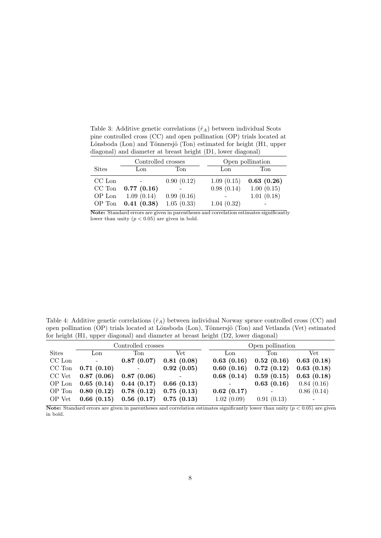<span id="page-8-0"></span>Table 3: Additive genetic correlations  $(\hat{r}_A)$  between individual Scots pine controlled cross (CC) and open pollination (OP) trials located at Lönsboda (Lon) and Tönnersjö (Ton) estimated for height (H1, upper diagonal) and diameter at breast height (D1, lower diagonal)

|              | Controlled crosses |            |            | Open pollination |  |  |
|--------------|--------------------|------------|------------|------------------|--|--|
| <b>Sites</b> | Lon                | Ton        | Lon        | Ton              |  |  |
| CC Lon       |                    | 0.90(0.12) | 1.09(0.15) | 0.63(0.26)       |  |  |
| $CC$ Ton     | 0.77(0.16)         |            | 0.98(0.14) | 1.00(0.15)       |  |  |
| OP Lon       | 1.09(0.14)         | 0.99(0.16) |            | 1.01(0.18)       |  |  |
| OP Ton       | 0.41(0.38)         | 1.05(0.33) | 1.04(0.32) |                  |  |  |

Note: Standard errors are given in parentheses and correlation estimates significantly lower than unity  $(p < 0.05)$  are given in bold.

<span id="page-8-1"></span>Table 4: Additive genetic correlations  $(\hat{r}_A)$  between individual Norway spruce controlled cross (CC) and open pollination (OP) trials located at Lönsboda (Lon), Tönnersjö (Ton) and Vetlanda (Vet) estimated for height (H1, upper diagonal) and diameter at breast height (D2, lower diagonal)

|              |                                                        | Controlled crosses                                        | Open pollination          |            |                                                 |                      |
|--------------|--------------------------------------------------------|-----------------------------------------------------------|---------------------------|------------|-------------------------------------------------|----------------------|
| <b>Sites</b> | Lon                                                    | Ton                                                       | Vet                       | Lon        | Ton                                             | Vet.                 |
| CC Lon       | $\sim 100$                                             | 0.87(0.07)                                                | 0.81(0.08)                | 0.63(0.16) | $0.52(0.16)$ $0.63(0.18)$                       |                      |
| CC Ton       | 0.71(0.10)                                             | $\mathcal{L}_{\text{max}}$ and $\mathcal{L}_{\text{max}}$ | 0.92(0.05)                |            | $0.60$ $(0.16)$ $0.72$ $(0.12)$ $0.63$ $(0.18)$ |                      |
|              | $CC$ Vet $0.87$ (0.06)                                 | 0.87(0.06)                                                | $\sim 10^{-10}$ m $^{-1}$ |            | $0.68$ $(0.14)$ $0.59$ $(0.15)$ $0.63$ $(0.18)$ |                      |
|              | OP Lon $0.65$ (0.14) $0.44$ (0.17) $0.66$ (0.13)       |                                                           |                           |            | 0.63(0.16)                                      | 0.84(0.16)           |
|              | OP Ton $0.80$ $(0.12)$ $0.78$ $(0.12)$ $0.75$ $(0.13)$ |                                                           |                           | 0.62(0.17) | $\overline{\phantom{a}}$                        | 0.86(0.14)           |
|              | OP Vet $0.66$ (0.15) $0.56$ (0.17) $0.75$ (0.13)       |                                                           |                           | 1.02(0.09) | 0.91(0.13)                                      | $\sim 100$ m $^{-1}$ |

Note: Standard errors are given in parentheses and correlation estimates significantly lower than unity  $(p < 0.05)$  are given in bold.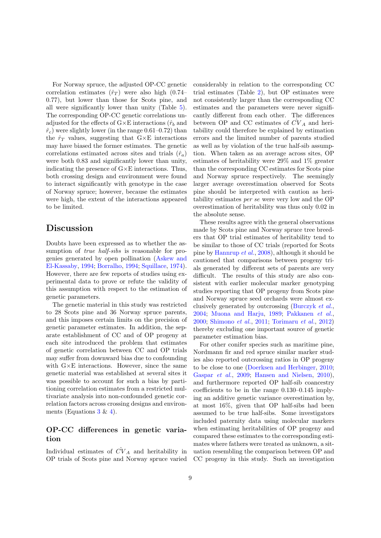For Norway spruce, the adjusted OP-CC genetic correlation estimates  $(\hat{r}_T)$  were also high (0.74– 0.77), but lower than those for Scots pine, and all were significantly lower than unity (Table [5\)](#page-10-0). The corresponding OP-CC genetic correlations unadjusted for the effects of  $G \times E$  interactions  $(\hat{r}_b$  and  $\hat{r}_c$ ) were slightly lower (in the range 0.61–0.72) than the  $\hat{r}_T$  values, suggesting that  $G \times E$  interactions may have biased the former estimates. The genetic correlations estimated across sites and trials  $(\hat{r}_a)$ were both 0.83 and significantly lower than unity, indicating the presence of  $G \times E$  interactions. Thus, both crossing design and environment were found to interact significantly with genotype in the case of Norway spruce; however, because the estimates were high, the extent of the interactions appeared to be limited.

# Discussion

Doubts have been expressed as to whether the assumption of *true half-sibs* is reasonable for progenies generated by open pollination [\(Askew and](#page-12-1) [El-Kassaby,](#page-12-1) [1994;](#page-12-1) [Borralho,](#page-12-2) [1994;](#page-12-2) [Squillace,](#page-13-0) [1974\)](#page-13-0). However, there are few reports of studies using experimental data to prove or refute the validity of this assumption with respect to the estimation of genetic parameters.

The genetic material in this study was restricted to 28 Scots pine and 36 Norway spruce parents, and this imposes certain limits on the precision of genetic parameter estimates. In addition, the separate establishment of CC and of OP progeny at each site introduced the problem that estimates of genetic correlation between CC and OP trials may suffer from downward bias due to confounding with  $G\times E$  interactions. However, since the same genetic material was established at several sites it was possible to account for such a bias by partitioning correlation estimates from a restricted multivariate analysis into non-confounded genetic correlation factors across crossing designs and environments (Equations  $3 \& 4$  $3 \& 4$ ).

#### OP-CC differences in genetic variation

Individual estimates of  $\hat{CV}_A$  and heritability in OP trials of Scots pine and Norway spruce varied considerably in relation to the corresponding CC trial estimates (Table [2\)](#page-6-0), but OP estimates were not consistently larger than the corresponding CC estimates and the parameters were never significantly different from each other. The differences between OP and CC estimates of  $\tilde{CV}_A$  and heritability could therefore be explained by estimation errors and the limited number of parents studied as well as by violation of the true half-sib assumption. When taken as an average across sites, OP estimates of heritability were 29% and 1% greater than the corresponding CC estimates for Scots pine and Norway spruce respectively. The seemingly larger average overestimation observed for Scots pine should be interpreted with caution as heritability estimates per se were very low and the OP overestimation of heritability was thus only 0.02 in the absolute sense.

These results agree with the general observations made by Scots pine and Norway spruce tree breeders that OP trial estimates of heritability tend to be similar to those of CC trials (reported for Scots pine by [Hannrup](#page-12-12) et al., [2008\)](#page-12-12), although it should be cautioned that comparisons between progeny trials generated by different sets of parents are very difficult. The results of this study are also consistent with earlier molecular marker genotyping studies reporting that OP progeny from Scots pine and Norway spruce seed orchards were almost exclusively generated by outcrossing [\(Burczyk](#page-12-13) et al., [2004;](#page-12-13) [Muona and Harju,](#page-13-4) [1989;](#page-13-4) [Pakkanen](#page-13-5) et al., [2000;](#page-13-5) [Shimono](#page-13-6) et al., [2011;](#page-13-6) [Torimaru](#page-13-7) et al., [2012\)](#page-13-7) thereby excluding one important source of genetic parameter estimation bias.

For other conifer species such as maritime pine, Nordmann fir and red spruce similar marker studies also reported outcrossing ratios in OP progeny to be close to one [\(Doerksen and Herbinger,](#page-12-3) [2010;](#page-12-3) [Gaspar](#page-12-4) et al., [2009;](#page-12-4) [Hansen and Nielsen,](#page-12-5) [2010\)](#page-12-5), and furthermore reported OP half-sib coancestry coefficients to be in the range 0.130–0.145 implying an additive genetic variance overestimation by, at most 16%, given that OP half-sibs had been assumed to be true half-sibs. Some investigators included paternity data using molecular markers when estimating heritabilities of OP progeny and compared these estimates to the corresponding estimates where fathers were treated as unknown, a situation resembling the comparison between OP and CC progeny in this study. Such an investigation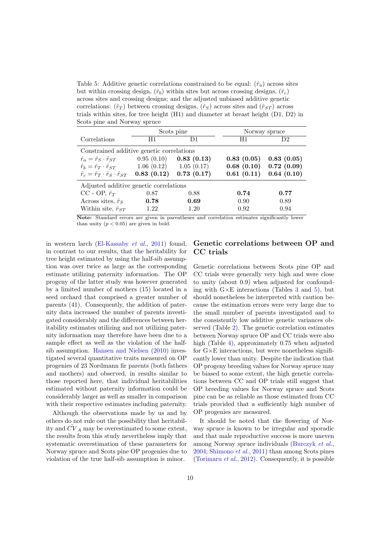<span id="page-10-0"></span>Table 5: Additive genetic correlations constrained to be equal:  $(\hat{r}_a)$  across sites but within crossing design,  $(\hat{r}_b)$  within sites but across crossing designs,  $(\hat{r}_c)$ across sites and crossing designs; and the adjusted unbiased additive genetic correlations:  $(\hat{r}_T)$  between crossing designs,  $(\hat{r}_S)$  across sites and  $(\hat{r}_{ST})$  across trials within sites, for tree height (H1) and diameter at breast height (D1, D2) in Scots pine and Norway spruce

|                                                                    |            | Scots pine | Norway spruce |            |  |  |  |  |  |
|--------------------------------------------------------------------|------------|------------|---------------|------------|--|--|--|--|--|
| Correlations                                                       | H1         | D1         | H1            | D2         |  |  |  |  |  |
| Constrained additive genetic correlations                          |            |            |               |            |  |  |  |  |  |
| $\hat{r}_a = \hat{r}_S \cdot \hat{r}_{ST}$                         | 0.95(0.10) | 0.83(0.13) | 0.83(0.05)    | 0.83(0.05) |  |  |  |  |  |
| $\hat{r}_b = \hat{r}_T \cdot \hat{r}_{ST}$ 1.06 (0.12) 1.05 (0.17) |            |            | 0.68(0.10)    | 0.72(0.09) |  |  |  |  |  |
| $\hat{r}_c = \hat{r}_T \cdot \hat{r}_S \cdot \hat{r}_{ST}$         | 0.83(0.12) | 0.73(0.17) | 0.61(0.11)    | 0.64(0.10) |  |  |  |  |  |
| Adjusted additive genetic correlations                             |            |            |               |            |  |  |  |  |  |
| CC - OP, $\hat{r}_T$                                               | 0.87       | 0.88       | 0.74          | 0.77       |  |  |  |  |  |
| Across sites, $\hat{r}_S$                                          | 0.78       | 0.69       | 0.90          | 0.89       |  |  |  |  |  |
| Within site, $\hat{r}_{ST}$                                        | 1.22       | 1.20       | 0.92          | 0.94       |  |  |  |  |  |

Note: Standard errors are given in parentheses and correlation estimates significantly lower than unity  $(p < 0.05)$  are given in bold.

in western larch [\(El-Kassaby](#page-12-6) et al., [2011\)](#page-12-6) found, in contrast to our results, that the heritability for tree height estimated by using the half-sib assumption was over twice as large as the corresponding estimate utilizing paternity information. The OP progeny of the latter study was however generated by a limited number of mothers (15) located in a seed orchard that comprised a greater number of parents (41). Consequently, the addition of paternity data increased the number of parents investigated considerably and the differences between heritability estimates utilizing and not utilizing paternity information may therefore have been due to a sample effect as well as the violation of the halfsib assumption. [Hansen and Nielsen](#page-12-5) [\(2010\)](#page-12-5) investigated several quantitative traits measured on OP progenies of 23 Nordmann fir parents (both fathers and mothers) and observed, in results similar to those reported here, that individual heritabilities estimated without paternity information could be considerably larger as well as smaller in comparison with their respective estimates including paternity.

Although the observations made by us and by others do not rule out the possibility that heritability and  $\tilde{CV}_A$  may be overestimated to some extent, the results from this study nevertheless imply that systematic overestimation of these parameters for Norway spruce and Scots pine OP progenies due to violation of the true half-sib assumption is minor.

#### Genetic correlations between OP and CC trials

Genetic correlations between Scots pine OP and CC trials were generally very high and were close to unity (about 0.9) when adjusted for confounding with  $G \times E$  interactions (Tables [3](#page-8-0) and [5\)](#page-10-0), but should nonetheless be interpreted with caution because the estimation errors were very large due to the small number of parents investigated and to the consistently low additive genetic variances observed (Table [2\)](#page-6-0). The genetic correlation estimates between Norway spruce OP and CC trials were also high (Table [4\)](#page-8-1), approximately 0.75 when adjusted for  $G \times E$  interactions, but were nonetheless significantly lower than unity. Despite the indication that OP progeny breeding values for Norway spruce may be biased to some extent, the high genetic correlations between CC and OP trials still suggest that OP breeding values for Norway spruce and Scots pine can be as reliable as those estimated from CC trials provided that a sufficiently high number of OP progenies are measured.

It should be noted that the flowering of Norway spruce is known to be irregular and sporadic and that male reproductive success is more uneven among Norway spruce individuals [\(Burczyk](#page-12-13) et al., [2004;](#page-12-13) [Shimono](#page-13-6) et al., [2011\)](#page-13-6) than among Scots pines [\(Torimaru](#page-13-7) *et al.*, [2012\)](#page-13-7). Consequently, it is possible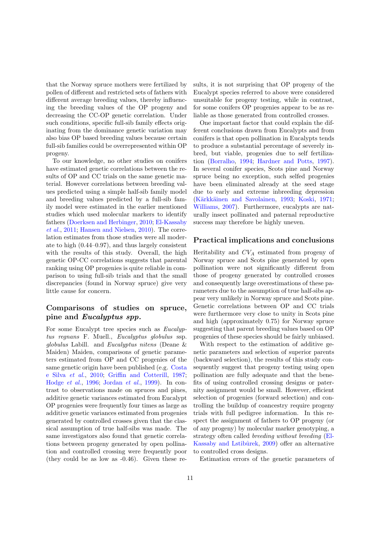that the Norway spruce mothers were fertilized by pollen of different and restricted sets of fathers with different average breeding values, thereby influencing the breeding values of the OP progeny and decreasing the CC-OP genetic correlation. Under such conditions, specific full-sib family effects originating from the dominance genetic variation may also bias OP based breeding values because certain full-sib families could be overrepresented within OP progeny.

To our knowledge, no other studies on conifers have estimated genetic correlations between the results of OP and CC trials on the same genetic material. However correlations between breeding values predicted using a simple half-sib family model and breeding values predicted by a full-sib family model were estimated in the earlier mentioned studies which used molecular markers to identify fathers [\(Doerksen and Herbinger,](#page-12-3) [2010;](#page-12-3) [El-Kassaby](#page-12-6) [et al.](#page-12-6), [2011;](#page-12-6) [Hansen and Nielsen,](#page-12-5) [2010\)](#page-12-5). The correlation estimates from those studies were all moderate to high (0.44–0.97), and thus largely consistent with the results of this study. Overall, the high genetic OP-CC correlations suggests that parental ranking using OP progenies is quite reliable in comparison to using full-sib trials and that the small discrepancies (found in Norway spruce) give very little cause for concern.

## Comparisons of studies on spruce, pine and Eucalyptus spp.

For some Eucalypt tree species such as Eucalyptus regnans F. Muell., Eucalyptus globulus ssp. globulus Labill. and Eucalyptus nitens (Deane & Maiden) Maiden, comparisons of genetic parameters estimated from OP and CC progenies of the same genetic origin have been published (e.g. [Costa](#page-12-7) [e Silva](#page-12-7) et al., [2010;](#page-12-7) [Griffin and Cotterill,](#page-12-8) [1987;](#page-12-8) [Hodge](#page-12-9) et al., [1996;](#page-12-9) [Jordan](#page-13-2) et al., [1999\)](#page-13-2). In contrast to observations made on spruces and pines, additive genetic variances estimated from Eucalypt OP progenies were frequently four times as large as additive genetic variances estimated from progenies generated by controlled crosses given that the classical assumption of true half-sibs was made. The same investigators also found that genetic correlations between progeny generated by open pollination and controlled crossing were frequently poor (they could be as low as -0.46). Given these results, it is not surprising that OP progeny of the Eucalypt species referred to above were considered unsuitable for progeny testing, while in contrast, for some conifers OP progenies appear to be as reliable as those generated from controlled crosses.

One important factor that could explain the different conclusions drawn from Eucalypts and from conifers is that open pollination in Eucalypts tends to produce a substantial percentage of severely inbred, but viable, progenies due to self fertilization [\(Borralho,](#page-12-2) [1994;](#page-12-2) [Hardner and Potts,](#page-12-14) [1997\)](#page-12-14). In several conifer species, Scots pine and Norway spruce being no exception, such selfed progenies have been eliminated already at the seed stage due to early and extreme inbreeding depression (Kärkkäinen and Savolainen, [1993;](#page-13-8) [Koski,](#page-13-9) [1971;](#page-13-9) [Williams,](#page-13-10) [2007\)](#page-13-10). Furthermore, eucalypts are naturally insect pollinated and paternal reproductive success may therefore be highly uneven.

#### Practical implications and conclusions

Heritability and  $CV_A$  estimated from progeny of Norway spruce and Scots pine generated by open pollination were not significantly different from those of progeny generated by controlled crosses and consequently large overestimations of these parameters due to the assumption of true half-sibs appear very unlikely in Norway spruce and Scots pine. Genetic correlations between OP and CC trials were furthermore very close to unity in Scots pine and high (approximately 0.75) for Norway spruce suggesting that parent breeding values based on OP progenies of these species should be fairly unbiased.

With respect to the estimation of additive genetic parameters and selection of superior parents (backward selection), the results of this study consequently suggest that progeny testing using open pollination are fully adequate and that the benefits of using controlled crossing designs or paternity assignment would be small. However, efficient selection of progenies (forward selection) and controlling the buildup of coancestry require progeny trials with full pedigree information. In this respect the assignment of fathers to OP progeny (or of any progeny) by molecular marker genotyping, a strategy often called breeding without breeding [\(El-](#page-12-15)Kassaby and Lstiburek, [2009\)](#page-12-15) offer an alternative to controlled cross designs.

Estimation errors of the genetic parameters of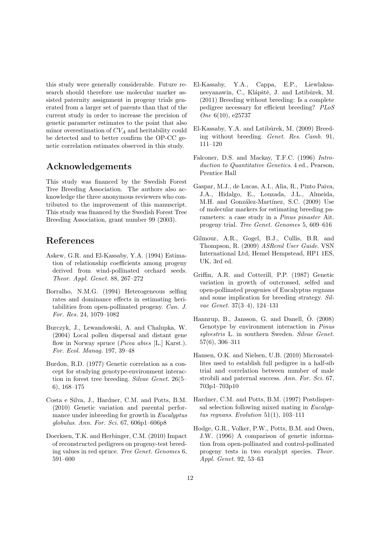this study were generally considerable. Future research should therefore use molecular marker assisted paternity assignment in progeny trials generated from a larger set of parents than that of the current study in order to increase the precision of genetic parameter estimates to the point that also minor overestimation of  $CV_A$  and heritability could be detected and to better confirm the OP-CC genetic correlation estimates observed in this study.

# Acknowledgements

This study was financed by the Swedish Forest Tree Breeding Association. The authors also acknowledge the three anonymous reviewers who contributed to the improvement of this manuscript. This study was financed by the Swedish Forest Tree Breeding Association, grant number 99 (2003).

## References

- <span id="page-12-1"></span>Askew, G.R. and El-Kassaby, Y.A. (1994) Estimation of relationship coefficients among progeny derived from wind-pollinated orchard seeds. Theor. Appl. Genet. 88, 267–272
- <span id="page-12-2"></span>Borralho, N.M.G. (1994) Heterogeneous selfing rates and dominance effects in estimating heritabilities from open-pollinated progeny. Can. J. For. Res. 24, 1079–1082
- <span id="page-12-13"></span>Burczyk, J., Lewandowski, A. and Chalupka, W. (2004) Local pollen dispersal and distant gene flow in Norway spruce (*Picea abies* [L.] Karst.). For. Ecol. Manag. 197, 39–48
- <span id="page-12-11"></span>Burdon, R.D. (1977) Genetic correlation as a concept for studying genotype-environment interaction in forest tree breeding. Silvae Genet. 26(5– 6), 168–175
- <span id="page-12-7"></span>Costa e Silva, J., Hardner, C.M. and Potts, B.M. (2010) Genetic variation and parental performance under inbreeding for growth in Eucalyptus globulus. Ann. For. Sci. 67, 606p1–606p8
- <span id="page-12-3"></span>Doerksen, T.K. and Herbinger, C.M. (2010) Impact of reconstructed pedigrees on progeny-test breeding values in red spruce. Tree Genet. Genomes 6, 591–600
- <span id="page-12-6"></span>El-Kassaby, Y.A., Cappa, E.P., Liewlaksaneeyanawin, C., Klápště, J. and Lstibůrek, M. (2011) Breeding without breeding: Is a complete pedigree necessary for efficient breeding? PLoS One 6(10), e25737
- <span id="page-12-15"></span>El-Kassaby, Y.A. and Lstiburek, M. (2009) Breeding without breeding. Genet. Res. Camb. 91, 111–120
- <span id="page-12-0"></span>Falconer, D.S. and Mackay, T.F.C. (1996) Introduction to Quantitative Genetics. 4 ed., Pearson, Prentice Hall
- <span id="page-12-4"></span>Gaspar, M.J., de Lucas, A.I., Alia, R., Pinto Paiva, J.A., Hidalgo, E., Louzada, J.L., Almeida, M.H. and González-Martínez, S.C. (2009) Use of molecular markers for estimating breeding parameters: a case study in a Pinus pinaster Ait. progeny trial. Tree Genet. Genomes 5, 609–616
- <span id="page-12-10"></span>Gilmour, A.R., Gogel, B.J., Cullis, B.R. and Thompson, R. (2009) ASReml User Guide. VSN International Ltd, Hemel Hempstead, HP1 1ES, UK, 3rd ed.
- <span id="page-12-8"></span>Griffin, A.R. and Cotterill, P.P. (1987) Genetic variation in growth of outcrossed, selfed and open-pollinated progenies of Eucalyptus regnans and some implication for breeding strategy. Silvae Genet. 37(3–4), 124–131
- <span id="page-12-12"></span>Hannrup, B., Jansson, G. and Danell,  $\ddot{O}$ . (2008) Genotype by environment interaction in Pinus sylvestris L. in southern Sweden. Silvae Genet. 57(6), 306–311
- <span id="page-12-5"></span>Hansen, O.K. and Nielsen, U.B. (2010) Microsatellites used to establish full pedigree in a half-sib trial and correlation between number of male strobili and paternal success. Ann. For. Sci. 67, 703p1–703p10
- <span id="page-12-14"></span>Hardner, C.M. and Potts, B.M. (1997) Postdispersal selection following mixed mating in Eucalyptus regnans. Evolution  $51(1)$ ,  $103-111$
- <span id="page-12-9"></span>Hodge, G.R., Volker, P.W., Potts, B.M. and Owen, J.W. (1996) A comparison of genetic information from open-pollinated and control-pollinated progeny tests in two eucalypt species. Theor. Appl. Genet. 92, 53–63